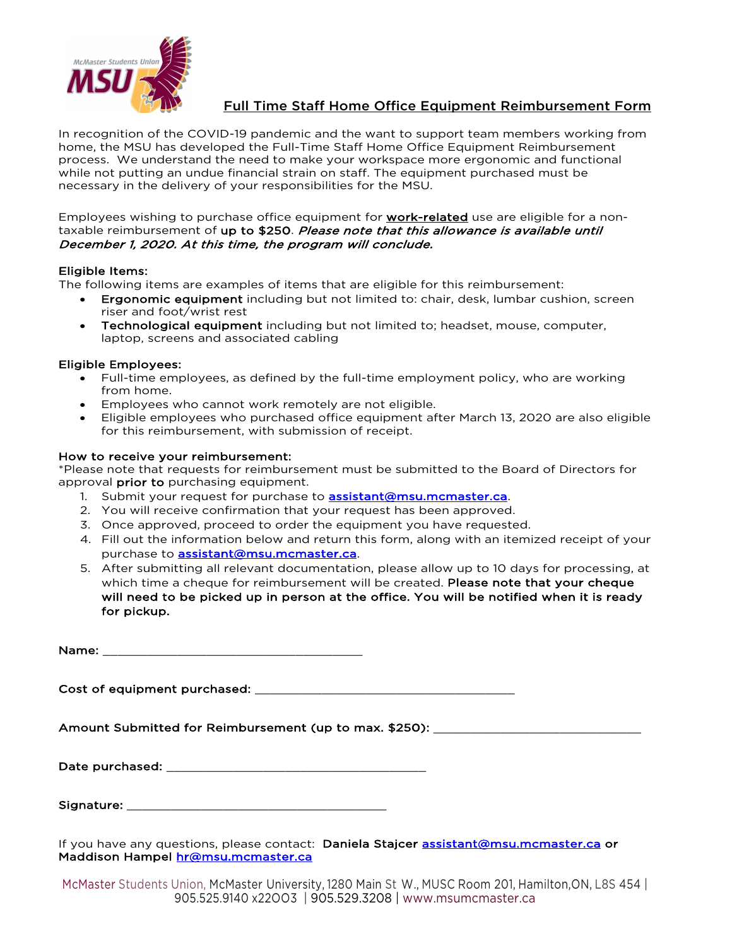

## Full Time Staff Home Office Equipment Reimbursement Form

In recognition of the COVID-19 pandemic and the want to support team members working from home, the MSU has developed the Full-Time Staff Home Office Equipment Reimbursement process. We understand the need to make your workspace more ergonomic and functional while not putting an undue financial strain on staff. The equipment purchased must be necessary in the delivery of your responsibilities for the MSU.

Employees wishing to purchase office equipment for **work-related** use are eligible for a nontaxable reimbursement of up to \$250. Please note that this allowance is available until December 1, 2020. At this time, the program will conclude.

### Eligible Items:

The following items are examples of items that are eligible for this reimbursement:

- Ergonomic equipment including but not limited to: chair, desk, lumbar cushion, screen riser and foot/wrist rest
- **Technological equipment** including but not limited to; headset, mouse, computer, laptop, screens and associated cabling

### Eligible Employees:

- Full-time employees, as defined by the full-time employment policy, who are working from home.
- Employees who cannot work remotely are not eligible.
- Eligible employees who purchased office equipment after March 13, 2020 are also eligible for this reimbursement, with submission of receipt.

### How to receive your reimbursement:

\*Please note that requests for reimbursement must be submitted to the Board of Directors for approval **prior to** purchasing equipment.

- 1. Submit your request for purchase to **assistant@msu.mcmaster.ca**.
- 2. You will receive confirmation that your request has been approved.
- 3. Once approved, proceed to order the equipment you have requested.
- 4. Fill out the information below and return this form, along with an itemized receipt of your purchase to **assistant@msu.mcmaster.ca**.
- 5. After submitting all relevant documentation, please allow up to 10 days for processing, at which time a cheque for reimbursement will be created. Please note that your cheque will need to be picked up in person at the office. You will be notified when it is ready for pickup.

Name:

Cost of equipment purchased: \_\_\_\_\_\_\_\_\_\_\_\_\_\_\_\_\_\_\_\_\_\_\_\_\_\_\_\_\_\_\_\_\_\_\_

Amount Submitted for Reimbursement (up to max. \$250): \_\_\_\_\_\_\_\_\_\_\_\_\_\_\_\_\_\_\_\_\_\_\_\_\_\_\_\_

| Date purchased: |  |
|-----------------|--|
|-----------------|--|

If you have any questions, please contact: Daniela Stajcer assistant@msu.mcmaster.ca or Maddison Hampel hr@msu.mcmaster.ca

McMaster Students Union, McMaster University, 1280 Main St W., MUSC Room 201, Hamilton,ON, L8S 454 | 905.525.9140 x22OO3 | 905.529.3208 | www.msumcmaster.ca